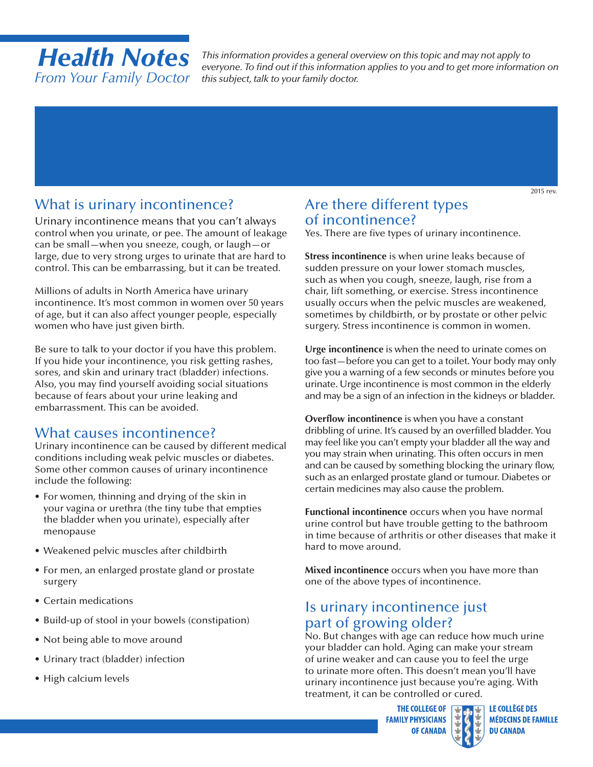# *Health Notes From Your Family Doctor*

*This information provides a general overview on this topic and may not apply to everyone. To find out if this information applies to you and to get more information on this subject, talk to your family doctor.*

# What is urinary incontinence?

Urinary incontinence means that you can't always control when you urinate, or pee. The amount of leakage can be small—when you sneeze, cough, or laugh—or large, due to very strong urges to urinate that are hard to control. This can be embarrassing, but it can be treated.

Millions of adults in North America have urinary incontinence. It's most common in women over 50 years of age, but it can also affect younger people, especially women who have just given birth.

Be sure to talk to your doctor if you have this problem. If you hide your incontinence, you risk getting rashes, sores, and skin and urinary tract (bladder) infections. Also, you may find yourself avoiding social situations because of fears about your urine leaking and embarrassment. This can be avoided.

#### What causes incontinence?

Urinary incontinence can be caused by different medical conditions including weak pelvic muscles or diabetes. Some other common causes of urinary incontinence include the following:

- For women, thinning and drying of the skin in your vagina or urethra (the tiny tube that empties the bladder when you urinate), especially after menopause
- Weakened pelvic muscles after childbirth
- For men, an enlarged prostate gland or prostate surgery
- Certain medications
- Build-up of stool in your bowels (constipation)
- Not being able to move around
- Urinary tract (bladder) infection
- High calcium levels

# Are there different types of incontinence?

Yes. There are five types of urinary incontinence.

**Stress incontinence** is when urine leaks because of sudden pressure on your lower stomach muscles, such as when you cough, sneeze, laugh, rise from a chair, lift something, or exercise. Stress incontinence usually occurs when the pelvic muscles are weakened, sometimes by childbirth, or by prostate or other pelvic surgery. Stress incontinence is common in women.

**Urge incontinence** is when the need to urinate comes on too fast—before you can get to a toilet. Your body may only give you a warning of a few seconds or minutes before you urinate. Urge incontinence is most common in the elderly and may be a sign of an infection in the kidneys or bladder.

**Overflow incontinence** is when you have a constant dribbling of urine. It's caused by an overfilled bladder. You may feel like you can't empty your bladder all the way and you may strain when urinating. This often occurs in men and can be caused by something blocking the urinary flow, such as an enlarged prostate gland or tumour. Diabetes or certain medicines may also cause the problem.

**Functional incontinence** occurs when you have normal urine control but have trouble getting to the bathroom in time because of arthritis or other diseases that make it hard to move around.

**Mixed incontinence** occurs when you have more than one of the above types of incontinence.

# Is urinary incontinence just part of growing older?

No. But changes with age can reduce how much urine your bladder can hold. Aging can make your stream of urine weaker and can cause you to feel the urge to urinate more often. This doesn't mean you'll have urinary incontinence just because you're aging. With treatment, it can be controlled or cured.

> **THE COLLEGE OF FAMILY PHYSICIANS OF CANADA**